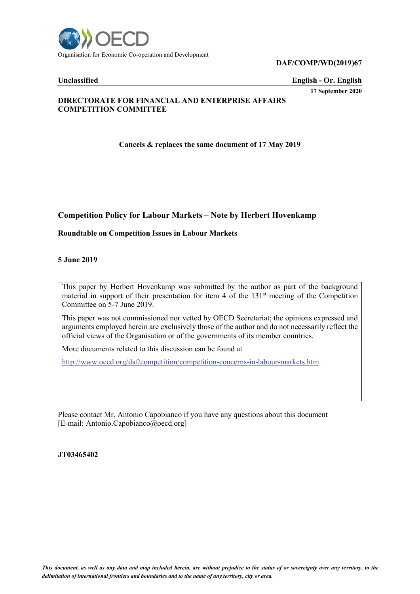

**DAF/COMP/WD(2019)67**

**Unclassified English - Or. English**

#### **17 September 2020**

### **DIRECTORATE FOR FINANCIAL AND ENTERPRISE AFFAIRS COMPETITION COMMITTEE**

**Cancels & replaces the same document of 17 May 2019**

# **Competition Policy for Labour Markets – Note by Herbert Hovenkamp**

### **Roundtable on Competition Issues in Labour Markets**

#### **5 June 2019**

This paper by Herbert Hovenkamp was submitted by the author as part of the background material in support of their presentation for item 4 of the  $131<sup>st</sup>$  meeting of the Competition Committee on 5-7 June 2019.

This paper was not commissioned nor vetted by OECD Secretariat; the opinions expressed and arguments employed herein are exclusively those of the author and do not necessarily reflect the official views of the Organisation or of the governments of its member countries.

More documents related to this discussion can be found at

<http://www.oecd.org/daf/competition/competition-concerns-in-labour-markets.htm>

Please contact Mr. Antonio Capobianco if you have any questions about this document [E-mail: Antonio.Capobianco@oecd.org]

**JT03465402**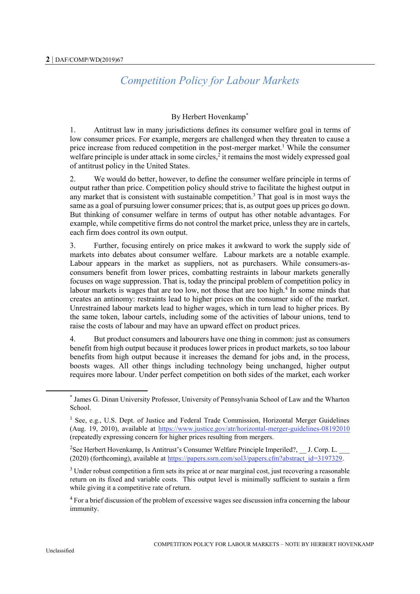# *Competition Policy for Labour Markets*

# By Herbert Hovenkamp\*

1. Antitrust law in many jurisdictions defines its consumer welfare goal in terms of low consumer prices. For example, mergers are challenged when they threaten to cause a price increase from reduced competition in the post-merger market.<sup>1</sup> While the consumer welfare principle is under attack in some circles,<sup>2</sup> it remains the most widely expressed goal of antitrust policy in the United States.

2. We would do better, however, to define the consumer welfare principle in terms of output rather than price. Competition policy should strive to facilitate the highest output in any market that is consistent with sustainable competition.<sup>3</sup> That goal is in most ways the same as a goal of pursuing lower consumer prices; that is, as output goes up prices go down. But thinking of consumer welfare in terms of output has other notable advantages. For example, while competitive firms do not control the market price, unless they are in cartels, each firm does control its own output.

3. Further, focusing entirely on price makes it awkward to work the supply side of markets into debates about consumer welfare. Labour markets are a notable example. Labour appears in the market as suppliers, not as purchasers. While consumers-asconsumers benefit from lower prices, combatting restraints in labour markets generally focuses on wage suppression. That is, today the principal problem of competition policy in labour markets is wages that are too low, not those that are too high.<sup>4</sup> In some minds that creates an antinomy: restraints lead to higher prices on the consumer side of the market. Unrestrained labour markets lead to higher wages, which in turn lead to higher prices. By the same token, labour cartels, including some of the activities of labour unions, tend to raise the costs of labour and may have an upward effect on product prices.

4. But product consumers and labourers have one thing in common: just as consumers benefit from high output because it produces lower prices in product markets, so too labour benefits from high output because it increases the demand for jobs and, in the process, boosts wages. All other things including technology being unchanged, higher output requires more labour. Under perfect competition on both sides of the market, each worker

<sup>4</sup> For a brief discussion of the problem of excessive wages see discussion infra concerning the labour immunity.

<sup>\*</sup> James G. Dinan University Professor, University of Pennsylvania School of Law and the Wharton School.

<sup>&</sup>lt;sup>1</sup> See, e.g., U.S. Dept. of Justice and Federal Trade Commission, Horizontal Merger Guidelines (Aug. 19, 2010), available at<https://www.justice.gov/atr/horizontal-merger-guidelines-08192010> (repeatedly expressing concern for higher prices resulting from mergers.

<sup>&</sup>lt;sup>2</sup>See Herbert Hovenkamp, Is Antitrust's Consumer Welfare Principle Imperiled?, J. Corp. L. (2020) (forthcoming), available at [https://papers.ssrn.com/sol3/papers.cfm?abstract\\_id=3197329.](https://papers.ssrn.com/sol3/papers.cfm?abstract_id=3197329)

<sup>&</sup>lt;sup>3</sup> Under robust competition a firm sets its price at or near marginal cost, just recovering a reasonable return on its fixed and variable costs. This output level is minimally sufficient to sustain a firm while giving it a competitive rate of return.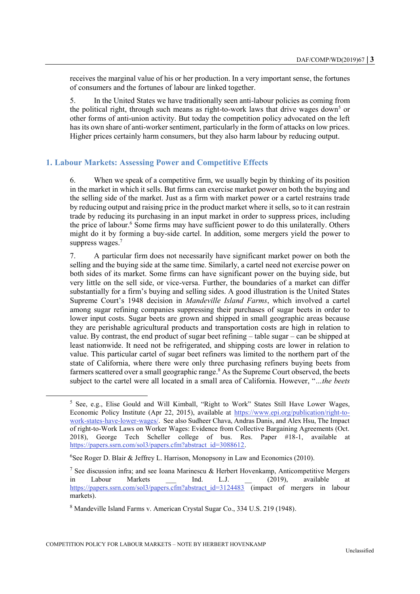receives the marginal value of his or her production. In a very important sense, the fortunes of consumers and the fortunes of labour are linked together.

5. In the United States we have traditionally seen anti-labour policies as coming from the political right, through such means as right-to-work laws that drive wages down<sup>5</sup> or other forms of anti-union activity. But today the competition policy advocated on the left has its own share of anti-worker sentiment, particularly in the form of attacks on low prices. Higher prices certainly harm consumers, but they also harm labour by reducing output.

### **1. Labour Markets: Assessing Power and Competitive Effects**

6. When we speak of a competitive firm, we usually begin by thinking of its position in the market in which it sells. But firms can exercise market power on both the buying and the selling side of the market. Just as a firm with market power or a cartel restrains trade by reducing output and raising price in the product market where it sells, so to it can restrain trade by reducing its purchasing in an input market in order to suppress prices, including the price of labour. <sup>6</sup> Some firms may have sufficient power to do this unilaterally. Others might do it by forming a buy-side cartel. In addition, some mergers yield the power to suppress wages.<sup>7</sup>

7. A particular firm does not necessarily have significant market power on both the selling and the buying side at the same time. Similarly, a cartel need not exercise power on both sides of its market. Some firms can have significant power on the buying side, but very little on the sell side, or vice-versa. Further, the boundaries of a market can differ substantially for a firm's buying and selling sides. A good illustration is the United States Supreme Court's 1948 decision in *Mandeville Island Farms*, which involved a cartel among sugar refining companies suppressing their purchases of sugar beets in order to lower input costs. Sugar beets are grown and shipped in small geographic areas because they are perishable agricultural products and transportation costs are high in relation to value. By contrast, the end product of sugar beet refining – table sugar – can be shipped at least nationwide. It need not be refrigerated, and shipping costs are lower in relation to value. This particular cartel of sugar beet refiners was limited to the northern part of the state of California, where there were only three purchasing refiners buying beets from farmers scattered over a small geographic range. <sup>8</sup> As the Supreme Court observed, the beets subject to the cartel were all located in a small area of California. However, "*…the beets* 

<sup>5</sup> See, e.g., Elise Gould and Will Kimball, "Right to Work" States Still Have Lower Wages, Economic Policy Institute (Apr 22, 2015), available at [https://www.epi.org/publication/right-to](https://www.epi.org/publication/right-to-work-states-have-lower-wages/)[work-states-have-lower-wages/.](https://www.epi.org/publication/right-to-work-states-have-lower-wages/) See also Sudheer Chava, Andras Danis, and Alex Hsu, The Impact of right-to-Work Laws on Worker Wages: Evidence from Collective Bargaining Agreements (Oct. 2018), George Tech Scheller college of bus. Res. Paper #18-1, available at [https://papers.ssrn.com/sol3/papers.cfm?abstract\\_id=3088612.](https://papers.ssrn.com/sol3/papers.cfm?abstract_id=3088612)

<sup>&</sup>lt;sup>6</sup>See Roger D. Blair & Jeffrey L. Harrison, Monopsony in Law and Economics (2010).

<sup>&</sup>lt;sup>7</sup> See discussion infra; and see Ioana Marinescu & Herbert Hovenkamp, Anticompetitive Mergers in Labour Markets \_\_\_ Ind. L.J. \_\_ (2019), available at [https://papers.ssrn.com/sol3/papers.cfm?abstract\\_id=3124483](https://papers.ssrn.com/sol3/papers.cfm?abstract_id=3124483) (impact of mergers in labour markets).

<sup>8</sup> Mandeville Island Farms v. American Crystal Sugar Co., 334 U.S. 219 (1948).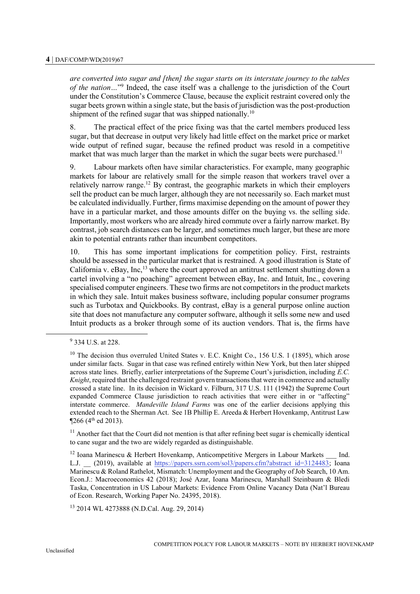*are converted into sugar and [then] the sugar starts on its interstate journey to the tables of the nation…*" 9 Indeed, the case itself was a challenge to the jurisdiction of the Court under the Constitution's Commerce Clause, because the explicit restraint covered only the sugar beets grown within a single state, but the basis of jurisdiction was the post-production shipment of the refined sugar that was shipped nationally.<sup>10</sup>

8. The practical effect of the price fixing was that the cartel members produced less sugar, but that decrease in output very likely had little effect on the market price or market wide output of refined sugar, because the refined product was resold in a competitive market that was much larger than the market in which the sugar beets were purchased.<sup>11</sup>

9. Labour markets often have similar characteristics. For example, many geographic markets for labour are relatively small for the simple reason that workers travel over a relatively narrow range.<sup>12</sup> By contrast, the geographic markets in which their employers sell the product can be much larger, although they are not necessarily so. Each market must be calculated individually. Further, firms maximise depending on the amount of power they have in a particular market, and those amounts differ on the buying vs. the selling side. Importantly, most workers who are already hired commute over a fairly narrow market. By contrast, job search distances can be larger, and sometimes much larger, but these are more akin to potential entrants rather than incumbent competitors.

10. This has some important implications for competition policy. First, restraints should be assessed in the particular market that is restrained. A good illustration is State of California v. eBay, Inc,<sup>13</sup> where the court approved an antitrust settlement shutting down a cartel involving a "no poaching" agreement between eBay, Inc. and Intuit, Inc., covering specialised computer engineers. These two firms are not competitors in the product markets in which they sale. Intuit makes business software, including popular consumer programs such as Turbotax and Quickbooks. By contrast, eBay is a general purpose online auction site that does not manufacture any computer software, although it sells some new and used Intuit products as a broker through some of its auction vendors. That is, the firms have

 $\overline{a}$ 

 $11$  Another fact that the Court did not mention is that after refining beet sugar is chemically identical to cane sugar and the two are widely regarded as distinguishable.

<sup>13</sup> 2014 WL 4273888 (N.D.Cal. Aug. 29, 2014)

<sup>&</sup>lt;sup>9</sup> 334 U.S. at 228.

 $10$  The decision thus overruled United States v. E.C. Knight Co., 156 U.S. 1 (1895), which arose under similar facts. Sugar in that case was refined entirely within New York, but then later shipped across state lines. Briefly, earlier interpretations of the Supreme Court's jurisdiction, including *E.C. Knight*, required that the challenged restraint govern transactions that were in commerce and actually crossed a state line. In its decision in Wickard v. Filburn, 317 U.S. 111 (1942) the Supreme Court expanded Commerce Clause jurisdiction to reach activities that were either in or "affecting" interstate commerce. *Mandeville Island Farms* was one of the earlier decisions applying this extended reach to the Sherman Act. See 1B Phillip E. Areeda & Herbert Hovenkamp, Antitrust Law  $\P$ 266 (4<sup>th</sup> ed 2013).

<sup>&</sup>lt;sup>12</sup> Ioana Marinescu & Herbert Hovenkamp, Anticompetitive Mergers in Labour Markets Ind. L.J. (2019), available at [https://papers.ssrn.com/sol3/papers.cfm?abstract\\_id=3124483;](https://papers.ssrn.com/sol3/papers.cfm?abstract_id=3124483) Ioana Marinescu & Roland Rathelot, Mismatch: Unemployment and the Geography of Job Search, 10 Am. Econ.J.: Macroeconomics 42 (2018); José Azar, Ioana Marinescu, Marshall Steinbaum & Bledi Taska, Concentration in US Labour Markets: Evidence From Online Vacancy Data (Nat'l Bureau of Econ. Research, Working Paper No. 24395, 2018).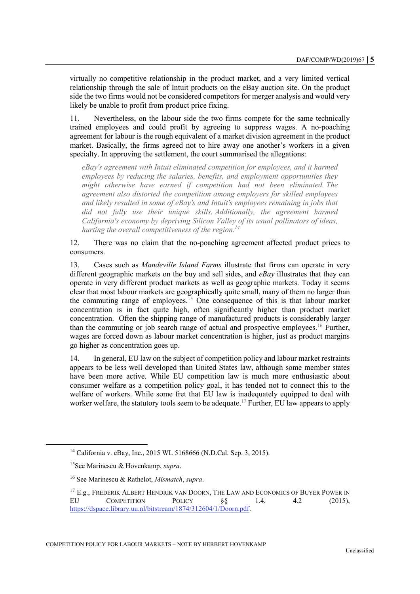virtually no competitive relationship in the product market, and a very limited vertical relationship through the sale of Intuit products on the eBay auction site. On the product side the two firms would not be considered competitors for merger analysis and would very likely be unable to profit from product price fixing.

11. Nevertheless, on the labour side the two firms compete for the same technically trained employees and could profit by agreeing to suppress wages. A no-poaching agreement for labour is the rough equivalent of a market division agreement in the product market. Basically, the firms agreed not to hire away one another's workers in a given specialty. In approving the settlement, the court summarised the allegations:

*eBay's agreement with Intuit eliminated competition for employees, and it harmed employees by reducing the salaries, benefits, and employment opportunities they might otherwise have earned if competition had not been eliminated. The agreement also distorted the competition among employers for skilled employees and likely resulted in some of eBay's and Intuit's employees remaining in jobs that did not fully use their unique skills. Additionally, the agreement harmed California's economy by depriving Silicon Valley of its usual pollinators of ideas, hurting the overall competitiveness of the region.<sup>14</sup>*

12. There was no claim that the no-poaching agreement affected product prices to consumers.

13. Cases such as *Mandeville Island Farms* illustrate that firms can operate in very different geographic markets on the buy and sell sides, and *eBay* illustrates that they can operate in very different product markets as well as geographic markets. Today it seems clear that most labour markets are geographically quite small, many of them no larger than the commuting range of employees.<sup>15</sup> One consequence of this is that labour market concentration is in fact quite high, often significantly higher than product market concentration. Often the shipping range of manufactured products is considerably larger than the commuting or job search range of actual and prospective employees.<sup>16</sup> Further, wages are forced down as labour market concentration is higher, just as product margins go higher as concentration goes up.

14. In general, EU law on the subject of competition policy and labour market restraints appears to be less well developed than United States law, although some member states have been more active. While EU competition law is much more enthusiastic about consumer welfare as a competition policy goal, it has tended not to connect this to the welfare of workers. While some fret that EU law is inadequately equipped to deal with worker welfare, the statutory tools seem to be adequate.<sup>17</sup> Further, EU law appears to apply

<sup>&</sup>lt;sup>14</sup> California v. eBay, Inc., 2015 WL 5168666 (N.D.Cal. Sep. 3, 2015).

<sup>15</sup>See Marinescu & Hovenkamp, *supra*.

<sup>16</sup> See Marinescu & Rathelot, *Mismatch*, *supra*.

<sup>&</sup>lt;sup>17</sup> E.g., FREDERIK ALBERT HENDRIK VAN DOORN, THE LAW AND ECONOMICS OF BUYER POWER IN EU COMPETITION POLICY §§ 1.4, 4.2 (2015), [https://dspace.library.uu.nl/bitstream/1874/312604/1/Doorn.pdf.](https://dspace.library.uu.nl/bitstream/1874/312604/1/Doorn.pdf)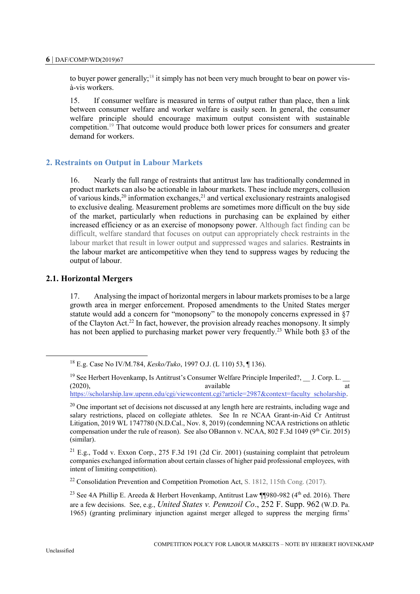to buyer power generally;<sup>18</sup> it simply has not been very much brought to bear on power visà-vis workers.

15. If consumer welfare is measured in terms of output rather than place, then a link between consumer welfare and worker welfare is easily seen. In general, the consumer welfare principle should encourage maximum output consistent with sustainable competition.<sup>19</sup> That outcome would produce both lower prices for consumers and greater demand for workers.

### **2. Restraints on Output in Labour Markets**

16. Nearly the full range of restraints that antitrust law has traditionally condemned in product markets can also be actionable in labour markets. These include mergers, collusion of various kinds,<sup>20</sup> information exchanges,<sup>21</sup> and vertical exclusionary restraints analogised to exclusive dealing. Measurement problems are sometimes more difficult on the buy side of the market, particularly when reductions in purchasing can be explained by either increased efficiency or as an exercise of monopsony power. Although fact finding can be difficult, welfare standard that focuses on output can appropriately check restraints in the labour market that result in lower output and suppressed wages and salaries. Restraints in the labour market are anticompetitive when they tend to suppress wages by reducing the output of labour.

### **2.1. Horizontal Mergers**

17. Analysing the impact of horizontal mergers in labour markets promises to be a large growth area in merger enforcement. Proposed amendments to the United States merger statute would add a concern for "monopsony" to the monopoly concerns expressed in §7 of the Clayton Act.<sup>22</sup> In fact, however, the provision already reaches monopsony. It simply has not been applied to purchasing market power very frequently.<sup>23</sup> While both §3 of the

 $22$  Consolidation Prevention and Competition Promotion Act, S. 1812, 115th Cong. (2017).

<sup>18</sup> E.g. Case No IV/M.784, *Kesko/Tuko*, 1997 O.J. (L 110) 53, ¶ 136).

<sup>&</sup>lt;sup>19</sup> See Herbert Hovenkamp, Is Antitrust's Consumer Welfare Principle Imperiled?, \_\_ J. Corp. L. \_\_ (2020), (2020), available at [https://scholarship.law.upenn.edu/cgi/viewcontent.cgi?article=2987&context=faculty\\_scholarship.](https://scholarship.law.upenn.edu/cgi/viewcontent.cgi?article=2987&context=faculty_scholarship)

 $20$  One important set of decisions not discussed at any length here are restraints, including wage and salary restrictions, placed on collegiate athletes. See In re NCAA Grant-in-Aid Cr Antitrust Litigation, 2019 WL 1747780 (N.D.Cal., Nov. 8, 2019) (condemning NCAA restrictions on athletic compensation under the rule of reason). See also OBannon v. NCAA, 802 F.3d 1049 (9<sup>th</sup> Cir. 2015) (similar).

 $^{21}$  E.g., Todd v. Exxon Corp., 275 F.3d 191 (2d Cir. 2001) (sustaining complaint that petroleum companies exchanged information about certain classes of higher paid professional employees, with intent of limiting competition).

<sup>&</sup>lt;sup>23</sup> See 4A Phillip E. Areeda & Herbert Hovenkamp, Antitrust Law ¶¶980-982 (4<sup>th</sup> ed. 2016). There are a few decisions. See, e.g., *United States v. Pennzoil Co*., 252 F. Supp. 962 (W.D. Pa. 1965) (granting preliminary injunction against merger alleged to suppress the merging firms'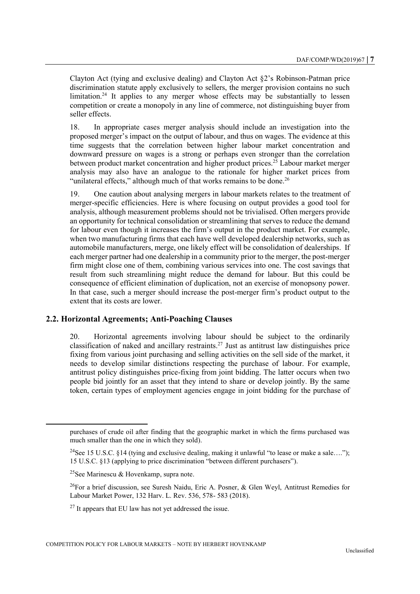Clayton Act (tying and exclusive dealing) and Clayton Act §2's Robinson-Patman price discrimination statute apply exclusively to sellers, the merger provision contains no such limitation.<sup>24</sup> It applies to any merger whose effects may be substantially to lessen competition or create a monopoly in any line of commerce, not distinguishing buyer from seller effects.

18. In appropriate cases merger analysis should include an investigation into the proposed merger's impact on the output of labour, and thus on wages. The evidence at this time suggests that the correlation between higher labour market concentration and downward pressure on wages is a strong or perhaps even stronger than the correlation between product market concentration and higher product prices.<sup>25</sup> Labour market merger analysis may also have an analogue to the rationale for higher market prices from "unilateral effects," although much of that works remains to be done.<sup>26</sup>

19. One caution about analysing mergers in labour markets relates to the treatment of merger-specific efficiencies. Here is where focusing on output provides a good tool for analysis, although measurement problems should not be trivialised. Often mergers provide an opportunity for technical consolidation or streamlining that serves to reduce the demand for labour even though it increases the firm's output in the product market. For example, when two manufacturing firms that each have well developed dealership networks, such as automobile manufacturers, merge, one likely effect will be consolidation of dealerships. If each merger partner had one dealership in a community prior to the merger, the post-merger firm might close one of them, combining various services into one. The cost savings that result from such streamlining might reduce the demand for labour. But this could be consequence of efficient elimination of duplication, not an exercise of monopsony power. In that case, such a merger should increase the post-merger firm's product output to the extent that its costs are lower.

#### **2.2. Horizontal Agreements; Anti-Poaching Clauses**

20. Horizontal agreements involving labour should be subject to the ordinarily classification of naked and ancillary restraints.<sup>27</sup> Just as antitrust law distinguishes price fixing from various joint purchasing and selling activities on the sell side of the market, it needs to develop similar distinctions respecting the purchase of labour. For example, antitrust policy distinguishes price-fixing from joint bidding. The latter occurs when two people bid jointly for an asset that they intend to share or develop jointly. By the same token, certain types of employment agencies engage in joint bidding for the purchase of

purchases of crude oil after finding that the geographic market in which the firms purchased was much smaller than the one in which they sold).

<sup>&</sup>lt;sup>24</sup>See 15 U.S.C. §14 (tying and exclusive dealing, making it unlawful "to lease or make a sale...."); 15 U.S.C. §13 (applying to price discrimination "between different purchasers").

<sup>&</sup>lt;sup>25</sup>See Marinescu & Hovenkamp, supra note.

<sup>&</sup>lt;sup>26</sup>For a brief discussion, see Suresh Naidu, Eric A. Posner, & Glen Weyl, Antitrust Remedies for Labour Market Power, 132 Harv. L. Rev. 536, 578- 583 (2018).

 $27$  It appears that EU law has not yet addressed the issue.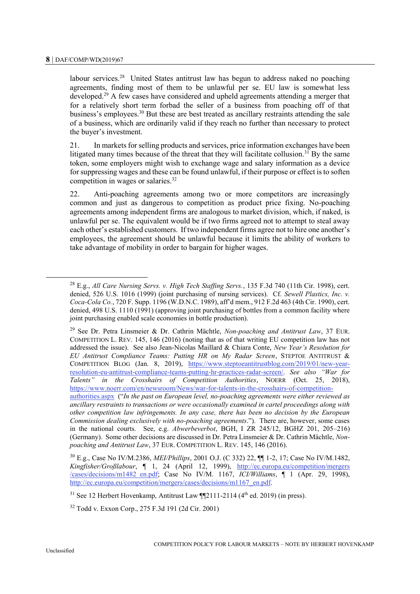labour services.<sup>28</sup> United States antitrust law has begun to address naked no poaching agreements, finding most of them to be unlawful per se. EU law is somewhat less developed.<sup>29</sup> A few cases have considered and upheld agreements attending a merger that for a relatively short term forbad the seller of a business from poaching off of that business's employees.<sup>30</sup> But these are best treated as ancillary restraints attending the sale of a business, which are ordinarily valid if they reach no further than necessary to protect the buyer's investment.

21. In markets for selling products and services, price information exchanges have been litigated many times because of the threat that they will facilitate collusion.<sup>31</sup> By the same token, some employers might wish to exchange wage and salary information as a device for suppressing wages and these can be found unlawful, if their purpose or effect is to soften competition in wages or salaries.<sup>32</sup>

22. Anti-poaching agreements among two or more competitors are increasingly common and just as dangerous to competition as product price fixing. No-poaching agreements among independent firms are analogous to market division, which, if naked, is unlawful per se. The equivalent would be if two firms agreed not to attempt to steal away each other's established customers. If two independent firms agree not to hire one another's employees, the agreement should be unlawful because it limits the ability of workers to take advantage of mobility in order to bargain for higher wages.

 $\ddot{\phantom{a}}$ 

<sup>28</sup> E.g., *All Care Nursing Servs. v. High Tech Staffing Servs.*, 135 F.3d 740 (11th Cir. 1998), cert. denied, 526 U.S. 1016 (1999) (joint purchasing of nursing services). Cf. *Sewell Plastics, Inc. v. Coca-Cola Co.*, 720 F. Supp. 1196 (W.D.N.C. 1989), aff'd mem., 912 F.2d 463 (4th Cir. 1990), cert. denied, 498 U.S. 1110 (1991) (approving joint purchasing of bottles from a common facility where joint purchasing enabled scale economies in bottle production).

<sup>29</sup> See Dr. Petra Linsmeier & Dr. Cathrin Mächtle, *Non-poaching and Antitrust Law*, 37 EUR. COMPETITION L. REV. 145, 146 (2016) (noting that as of that writing EU competition law has not addressed the issue). See also Jean-Nicolas Maillard & Chiara Conte, *New Year's Resolution for EU Antitrust Compliance Teams: Putting HR on My Radar Screen*, STEPTOE ANTITRUST & COMPETITION BLOG (Jan. 8, 2019), [https://www.steptoeantitrustblog.com/2019/01/new-year](https://www.steptoeantitrustblog.com/2019/01/new-year-resolution-eu-antitrust-compliance-teams-putting-hr-practices-radar-screen/)[resolution-eu-antitrust-compliance-teams-putting-hr-practices-radar-screen/.](https://www.steptoeantitrustblog.com/2019/01/new-year-resolution-eu-antitrust-compliance-teams-putting-hr-practices-radar-screen/) *See also "War for Talents" in the Crosshairs of Competition Authorities*, NOERR (Oct. 25, 2018),

[https://www.noerr.com/en/newsroom/News/war-for-talents-in-the-crosshairs-of-competition](https://www.noerr.com/en/newsroom/News/war-for-talents-in-the-crosshairs-of-competition-authorities.aspx)[authorities.aspx](https://www.noerr.com/en/newsroom/News/war-for-talents-in-the-crosshairs-of-competition-authorities.aspx) ("*In the past on European level, no-poaching agreements were either reviewed as ancillary restraints to transactions or were occasionally examined in cartel proceedings along with other competition law infringements. In any case, there has been no decision by the European Commission dealing exclusively with no-poaching agreements*."). There are, however, some cases in the national courts. See, e.g. *Abwerbeverbot*, BGH, I ZR 245/12, BGHZ 201, 205–216) (Germany). Some other decisions are discussed in Dr. Petra Linsmeier & Dr. Cathrin Mächtle, *Nonpoaching and Antitrust Law*, 37 EUR. COMPETITION L. REV. 145, 146 (2016).

<sup>30</sup> E.g., Case No IV/M.2386, *MEI/Phillips*, 2001 O.J. (C 332) 22, ¶¶ 1-2, 17; Case No IV/M.1482, *Kingfisher/Großlabour*, ¶ 1, 24 (April 12, 1999), [http://ec.europa.eu/competition/mergers](http://ec.europa.eu/competition/mergers/cases/decisions/m1482_en.pdf) [/cases/decisions/m1482\\_en.pdf;](http://ec.europa.eu/competition/mergers/cases/decisions/m1482_en.pdf) Case No IV/M. 1167, *ICI/Williams*, ¶ 1 (Apr. 29, 1998), [http://ec.europa.eu/competition/mergers/cases/decisions/m1167\\_en.pdf.](http://ec.europa.eu/competition/mergers/cases/decisions/m1167_en.pdf)

<sup>&</sup>lt;sup>31</sup> See 12 Herbert Hovenkamp, Antitrust Law  $\P$ 2111-2114 (4<sup>th</sup> ed. 2019) (in press).

<sup>32</sup> Todd v. Exxon Corp., 275 F.3d 191 (2d Cir. 2001)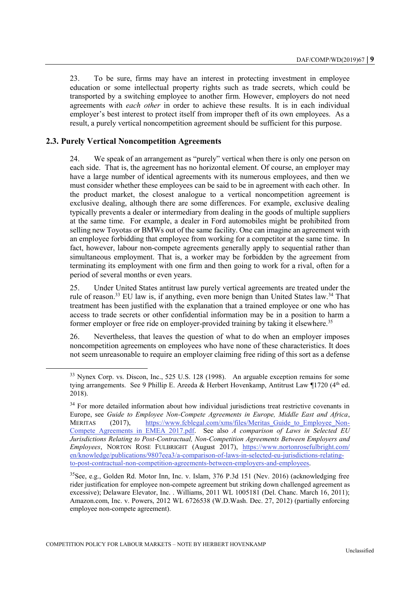23. To be sure, firms may have an interest in protecting investment in employee education or some intellectual property rights such as trade secrets, which could be transported by a switching employee to another firm. However, employers do not need agreements with *each other* in order to achieve these results. It is in each individual employer's best interest to protect itself from improper theft of its own employees. As a result, a purely vertical noncompetition agreement should be sufficient for this purpose.

### **2.3. Purely Vertical Noncompetition Agreements**

 $\overline{a}$ 

24. We speak of an arrangement as "purely" vertical when there is only one person on each side. That is, the agreement has no horizontal element. Of course, an employer may have a large number of identical agreements with its numerous employees, and then we must consider whether these employees can be said to be in agreement with each other. In the product market, the closest analogue to a vertical noncompetition agreement is exclusive dealing, although there are some differences. For example, exclusive dealing typically prevents a dealer or intermediary from dealing in the goods of multiple suppliers at the same time. For example, a dealer in Ford automobiles might be prohibited from selling new Toyotas or BMWs out of the same facility. One can imagine an agreement with an employee forbidding that employee from working for a competitor at the same time. In fact, however, labour non-compete agreements generally apply to sequential rather than simultaneous employment. That is, a worker may be forbidden by the agreement from terminating its employment with one firm and then going to work for a rival, often for a period of several months or even years.

25. Under United States antitrust law purely vertical agreements are treated under the rule of reason.<sup>33</sup> EU law is, if anything, even more benign than United States law.<sup>34</sup> That treatment has been justified with the explanation that a trained employee or one who has access to trade secrets or other confidential information may be in a position to harm a former employer or free ride on employer-provided training by taking it elsewhere.<sup>35</sup>

26. Nevertheless, that leaves the question of what to do when an employer imposes noncompetition agreements on employees who have none of these characteristics. It does not seem unreasonable to require an employer claiming free riding of this sort as a defense

<sup>&</sup>lt;sup>33</sup> Nynex Corp. vs. Discon, Inc., 525 U.S. 128 (1998). An arguable exception remains for some tying arrangements. See 9 Phillip E. Areeda & Herbert Hovenkamp, Antitrust Law ¶1720 (4<sup>th</sup> ed. 2018).

<sup>&</sup>lt;sup>34</sup> For more detailed information about how individual jurisdictions treat restrictive covenants in Europe, see *Guide to Employee Non-Compete Agreements in Europe, Middle East and Africa*, MERITAS (2017), https://www.fcblegal.com/xms/files/Meritas Guide to Employee Non-Compete Agreements in EMEA 2017.pdf. See also *A comparison of Laws in Selected EU Jurisdictions Relating to Post-Contractual, Non-Competition Agreements Between Employers and Employees*, NORTON ROSE FULBRIGHT (August 2017), [https://www.nortonrosefulbright.com/](https://www.nortonrosefulbright.com/en/knowledge/publications/9807eea3/a-comparison-of-laws-in-selected-eu-jurisdictions-relating-to-post-contractual-non-competition-agreements-between-employers-and-employees) [en/knowledge/publications/9807eea3/a-comparison-of-laws-in-selected-eu-jurisdictions-relating](https://www.nortonrosefulbright.com/en/knowledge/publications/9807eea3/a-comparison-of-laws-in-selected-eu-jurisdictions-relating-to-post-contractual-non-competition-agreements-between-employers-and-employees)[to-post-contractual-non-competition-agreements-between-employers-and-employees.](https://www.nortonrosefulbright.com/en/knowledge/publications/9807eea3/a-comparison-of-laws-in-selected-eu-jurisdictions-relating-to-post-contractual-non-competition-agreements-between-employers-and-employees)

 $35$ See, e.g., Golden Rd. Motor Inn, Inc. v. Islam, 376 P.3d 151 (Nev. 2016) (acknowledging free rider justification for employee non-compete agreement but striking down challenged agreement as excessive); Delaware Elevator, Inc. . Williams, 2011 WL 1005181 (Del. Chanc. March 16, 2011); Amazon.com, Inc. v. Powers, 2012 WL 6726538 (W.D.Wash. Dec. 27, 2012) (partially enforcing employee non-compete agreement).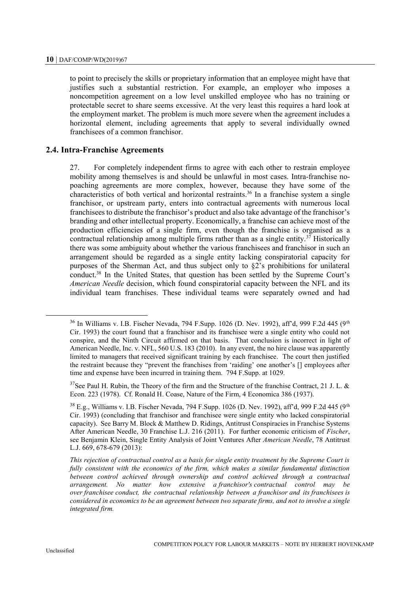to point to precisely the skills or proprietary information that an employee might have that justifies such a substantial restriction. For example, an employer who imposes a noncompetition agreement on a low level unskilled employee who has no training or protectable secret to share seems excessive. At the very least this requires a hard look at the employment market. The problem is much more severe when the agreement includes a horizontal element, including agreements that apply to several individually owned franchisees of a common franchisor.

#### **2.4. Intra-Franchise Agreements**

27. For completely independent firms to agree with each other to restrain employee mobility among themselves is and should be unlawful in most cases. Intra-franchise nopoaching agreements are more complex, however, because they have some of the characteristics of both vertical and horizontal restraints.<sup>36</sup> In a franchise system a single franchisor, or upstream party, enters into contractual agreements with numerous local franchisees to distribute the franchisor's product and also take advantage of the franchisor's branding and other intellectual property. Economically, a franchise can achieve most of the production efficiencies of a single firm, even though the franchise is organised as a contractual relationship among multiple firms rather than as a single entity.<sup>37</sup> Historically there was some ambiguity about whether the various franchisees and franchisor in such an arrangement should be regarded as a single entity lacking conspiratorial capacity for purposes of the Sherman Act, and thus subject only to §2's prohibitions for unilateral conduct.<sup>38</sup> In the United States, that question has been settled by the Supreme Court's *American Needle* decision, which found conspiratorial capacity between the NFL and its individual team franchises. These individual teams were separately owned and had

 $\ddot{ }$ 

 $36$  In Williams v. I.B. Fischer Nevada, 794 F.Supp. 1026 (D. Nev. 1992), aff'd, 999 F.2d 445 (9<sup>th</sup> Cir. 1993) the court found that a franchisor and its franchisee were a single entity who could not conspire, and the Ninth Circuit affirmed on that basis. That conclusion is incorrect in light of American Needle, Inc. v. NFL, 560 U.S. 183 (2010). In any event, the no hire clause was apparently limited to managers that received significant training by each franchisee. The court then justified the restraint because they "prevent the franchises from 'raiding' one another's [] employees after time and expense have been incurred in training them. 794 F.Supp. at 1029.

<sup>&</sup>lt;sup>37</sup>See Paul H. Rubin, the Theory of the firm and the Structure of the franchise Contract, 21 J. L. & Econ. 223 (1978). Cf. Ronald H. Coase, Nature of the Firm, 4 Economica 386 (1937).

<sup>&</sup>lt;sup>38</sup> E.g., Williams v. I.B. Fischer Nevada, 794 F.Supp. 1026 (D. Nev. 1992), aff'd, 999 F.2d 445 (9<sup>th</sup> Cir. 1993) (concluding that franchisor and franchisee were single entity who lacked conspiratorial capacity). See Barry M. Block & Matthew D. Ridings, Antitrust Conspiracies in Franchise Systems After American Needle, 30 Franchise L.J. 216 (2011). For further economic criticism of *Fischer*, see Benjamin Klein, Single Entity Analysis of Joint Ventures After *American Needle*, 78 Antitrust L.J. 669, 678-679 (2013):

*This rejection of contractual control as a basis for single entity treatment by the Supreme Court is fully consistent with the economics of the firm, which makes a similar fundamental distinction between control achieved through ownership and control achieved through a contractual arrangement. No matter how extensive a franchisor's contractual control may be over franchisee conduct, the contractual relationship between a franchisor and its franchisees is considered in economics to be an agreement between two separate firms, and not to involve a single integrated firm.*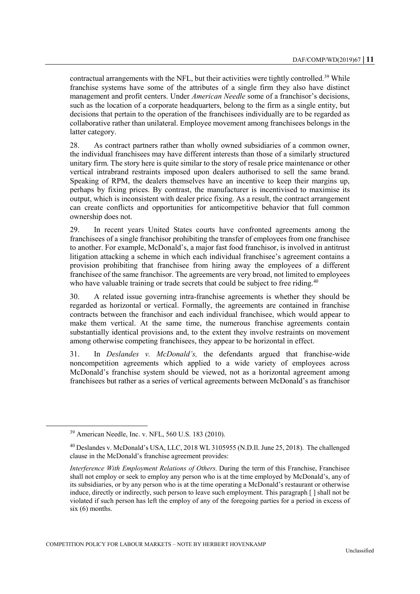contractual arrangements with the NFL, but their activities were tightly controlled.<sup>39</sup> While franchise systems have some of the attributes of a single firm they also have distinct management and profit centers. Under *American Needle* some of a franchisor's decisions, such as the location of a corporate headquarters, belong to the firm as a single entity, but decisions that pertain to the operation of the franchisees individually are to be regarded as collaborative rather than unilateral. Employee movement among franchisees belongs in the latter category.

28. As contract partners rather than wholly owned subsidiaries of a common owner, the individual franchisees may have different interests than those of a similarly structured unitary firm. The story here is quite similar to the story of resale price maintenance or other vertical intrabrand restraints imposed upon dealers authorised to sell the same brand. Speaking of RPM, the dealers themselves have an incentive to keep their margins up, perhaps by fixing prices. By contrast, the manufacturer is incentivised to maximise its output, which is inconsistent with dealer price fixing. As a result, the contract arrangement can create conflicts and opportunities for anticompetitive behavior that full common ownership does not.

29. In recent years United States courts have confronted agreements among the franchisees of a single franchisor prohibiting the transfer of employees from one franchisee to another. For example, McDonald's, a major fast food franchisor, is involved in antitrust litigation attacking a scheme in which each individual franchisee's agreement contains a provision prohibiting that franchisee from hiring away the employees of a different franchisee of the same franchisor. The agreements are very broad, not limited to employees who have valuable training or trade secrets that could be subject to free riding.<sup>40</sup>

30. A related issue governing intra-franchise agreements is whether they should be regarded as horizontal or vertical. Formally, the agreements are contained in franchise contracts between the franchisor and each individual franchisee, which would appear to make them vertical. At the same time, the numerous franchise agreements contain substantially identical provisions and, to the extent they involve restraints on movement among otherwise competing franchisees, they appear to be horizontal in effect.

31. In *Deslandes v. McDonald's,* the defendants argued that franchise-wide noncompetition agreements which applied to a wide variety of employees across McDonald's franchise system should be viewed, not as a horizontal agreement among franchisees but rather as a series of vertical agreements between McDonald's as franchisor

<sup>39</sup> American Needle, Inc. v. NFL, 560 U.S. 183 (2010).

<sup>&</sup>lt;sup>40</sup> Deslandes v. McDonald's USA, LLC, 2018 WL 3105955 (N.D.Il. June 25, 2018). The challenged clause in the McDonald's franchise agreement provides:

*Interference With Employment Relations of Others.* During the term of this Franchise, Franchisee shall not employ or seek to employ any person who is at the time employed by McDonald's, any of its subsidiaries, or by any person who is at the time operating a McDonald's restaurant or otherwise induce, directly or indirectly, such person to leave such employment. This paragraph [ ] shall not be violated if such person has left the employ of any of the foregoing parties for a period in excess of six (6) months.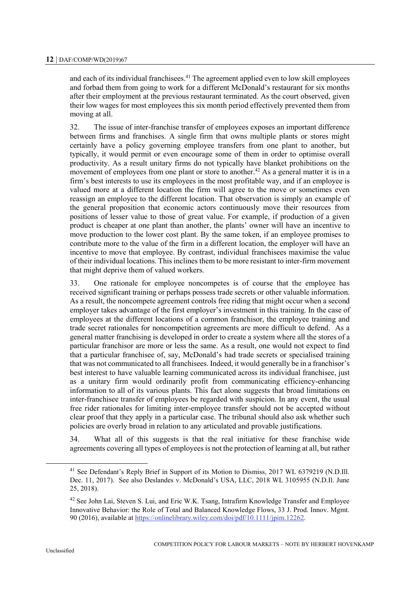and each of its individual franchisees.<sup>41</sup> The agreement applied even to low skill employees and forbad them from going to work for a different McDonald's restaurant for six months after their employment at the previous restaurant terminated. As the court observed, given their low wages for most employees this six month period effectively prevented them from moving at all.

32. The issue of inter-franchise transfer of employees exposes an important difference between firms and franchises. A single firm that owns multiple plants or stores might certainly have a policy governing employee transfers from one plant to another, but typically, it would permit or even encourage some of them in order to optimise overall productivity. As a result unitary firms do not typically have blanket prohibitions on the movement of employees from one plant or store to another.<sup>42</sup> As a general matter it is in a firm's best interests to use its employees in the most profitable way, and if an employee is valued more at a different location the firm will agree to the move or sometimes even reassign an employee to the different location. That observation is simply an example of the general proposition that economic actors continuously move their resources from positions of lesser value to those of great value. For example, if production of a given product is cheaper at one plant than another, the plants' owner will have an incentive to move production to the lower cost plant. By the same token, if an employee promises to contribute more to the value of the firm in a different location, the employer will have an incentive to move that employee. By contrast, individual franchisees maximise the value of their individual locations. This inclines them to be more resistant to inter-firm movement that might deprive them of valued workers.

33. One rationale for employee noncompetes is of course that the employee has received significant training or perhaps possess trade secrets or other valuable information. As a result, the noncompete agreement controls free riding that might occur when a second employer takes advantage of the first employer's investment in this training. In the case of employees at the different locations of a common franchisor, the employee training and trade secret rationales for noncompetition agreements are more difficult to defend. As a general matter franchising is developed in order to create a system where all the stores of a particular franchisor are more or less the same. As a result, one would not expect to find that a particular franchisee of, say, McDonald's had trade secrets or specialised training that was not communicated to all franchisees. Indeed, it would generally be in a franchisor's best interest to have valuable learning communicated across its individual franchisee, just as a unitary firm would ordinarily profit from communicating efficiency-enhancing information to all of its various plants. This fact alone suggests that broad limitations on inter-franchisee transfer of employees be regarded with suspicion. In any event, the usual free rider rationales for limiting inter-employee transfer should not be accepted without clear proof that they apply in a particular case. The tribunal should also ask whether such policies are overly broad in relation to any articulated and provable justifications.

34. What all of this suggests is that the real initiative for these franchise wide agreements covering all types of employees is not the protection of learning at all, but rather

<sup>&</sup>lt;sup>41</sup> See Defendant's Reply Brief in Support of its Motion to Dismiss, 2017 WL 6379219 (N.D.Ill. Dec. 11, 2017). See also Deslandes v. McDonald's USA, LLC, 2018 WL 3105955 (N.D.Il. June 25, 2018).

 $42$  See John Lai, Steven S. Lui, and Eric W.K. Tsang, Intrafirm Knowledge Transfer and Employee Innovative Behavior: the Role of Total and Balanced Knowledge Flows, 33 J. Prod. Innov. Mgmt. 90 (2016), available a[t https://onlinelibrary.wiley.com/doi/pdf/10.1111/jpim.12262.](https://onlinelibrary.wiley.com/doi/pdf/10.1111/jpim.12262)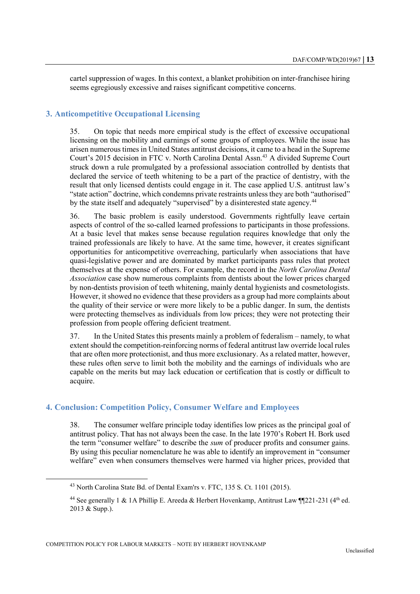cartel suppression of wages. In this context, a blanket prohibition on inter-franchisee hiring seems egregiously excessive and raises significant competitive concerns.

# **3. Anticompetitive Occupational Licensing**

35. On topic that needs more empirical study is the effect of excessive occupational licensing on the mobility and earnings of some groups of employees. While the issue has arisen numerous times in United States antitrust decisions, it came to a head in the Supreme Court's 2015 decision in FTC v. North Carolina Dental Assn.<sup>43</sup> A divided Supreme Court struck down a rule promulgated by a professional association controlled by dentists that declared the service of teeth whitening to be a part of the practice of dentistry, with the result that only licensed dentists could engage in it. The case applied U.S. antitrust law's "state action" doctrine, which condemns private restraints unless they are both "authorised" by the state itself and adequately "supervised" by a disinterested state agency.<sup>44</sup>

36. The basic problem is easily understood. Governments rightfully leave certain aspects of control of the so-called learned professions to participants in those professions. At a basic level that makes sense because regulation requires knowledge that only the trained professionals are likely to have. At the same time, however, it creates significant opportunities for anticompetitive overreaching, particularly when associations that have quasi-legislative power and are dominated by market participants pass rules that protect themselves at the expense of others. For example, the record in the *North Carolina Dental Association* case show numerous complaints from dentists about the lower prices charged by non-dentists provision of teeth whitening, mainly dental hygienists and cosmetologists. However, it showed no evidence that these providers as a group had more complaints about the quality of their service or were more likely to be a public danger. In sum, the dentists were protecting themselves as individuals from low prices; they were not protecting their profession from people offering deficient treatment.

37. In the United States this presents mainly a problem of federalism – namely, to what extent should the competition-reinforcing norms of federal antitrust law override local rules that are often more protectionist, and thus more exclusionary. As a related matter, however, these rules often serve to limit both the mobility and the earnings of individuals who are capable on the merits but may lack education or certification that is costly or difficult to acquire.

# **4. Conclusion: Competition Policy, Consumer Welfare and Employees**

38. The consumer welfare principle today identifies low prices as the principal goal of antitrust policy. That has not always been the case. In the late 1970's Robert H. Bork used the term "consumer welfare" to describe the *sum* of producer profits and consumer gains. By using this peculiar nomenclature he was able to identify an improvement in "consumer welfare" even when consumers themselves were harmed via higher prices, provided that

<sup>&</sup>lt;sup>43</sup> North Carolina State Bd. of Dental Exam'rs v. FTC, 135 S. Ct. 1101 (2015).

<sup>&</sup>lt;sup>44</sup> See generally 1 & 1A Phillip E. Areeda & Herbert Hovenkamp, Antitrust Law ¶[221-231 (4<sup>th</sup> ed. 2013 & Supp.).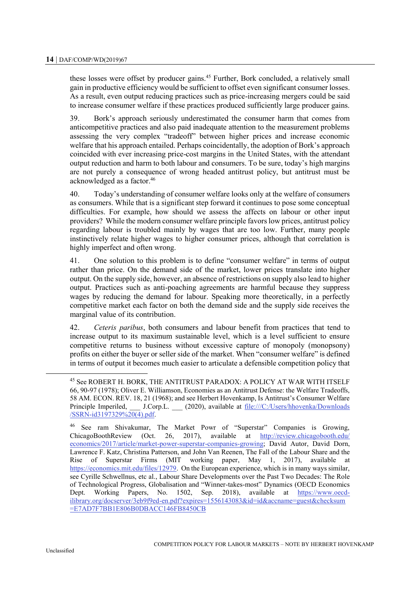these losses were offset by producer gains.<sup>45</sup> Further, Bork concluded, a relatively small gain in productive efficiency would be sufficient to offset even significant consumer losses. As a result, even output reducing practices such as price-increasing mergers could be said to increase consumer welfare if these practices produced sufficiently large producer gains.

39. Bork's approach seriously underestimated the consumer harm that comes from anticompetitive practices and also paid inadequate attention to the measurement problems assessing the very complex "tradeoff" between higher prices and increase economic welfare that his approach entailed. Perhaps coincidentally, the adoption of Bork's approach coincided with ever increasing price-cost margins in the United States, with the attendant output reduction and harm to both labour and consumers. To be sure, today's high margins are not purely a consequence of wrong headed antitrust policy, but antitrust must be acknowledged as a factor.<sup>46</sup>

40. Today's understanding of consumer welfare looks only at the welfare of consumers as consumers. While that is a significant step forward it continues to pose some conceptual difficulties. For example, how should we assess the affects on labour or other input providers? While the modern consumer welfare principle favors low prices, antitrust policy regarding labour is troubled mainly by wages that are too low. Further, many people instinctively relate higher wages to higher consumer prices, although that correlation is highly imperfect and often wrong.

41. One solution to this problem is to define "consumer welfare" in terms of output rather than price. On the demand side of the market, lower prices translate into higher output. On the supply side, however, an absence of restrictions on supply also lead to higher output. Practices such as anti-poaching agreements are harmful because they suppress wages by reducing the demand for labour. Speaking more theoretically, in a perfectly competitive market each factor on both the demand side and the supply side receives the marginal value of its contribution.

42. *Ceteris paribus*, both consumers and labour benefit from practices that tend to increase output to its maximum sustainable level, which is a level sufficient to ensure competitive returns to business without excessive capture of monopoly (monopsony) profits on either the buyer or seller side of the market. When "consumer welfare" is defined in terms of output it becomes much easier to articulate a defensible competition policy that

<sup>45</sup> See ROBERT H. BORK, THE ANTITRUST PARADOX: A POLICY AT WAR WITH ITSELF 66, 90-97 (1978); Oliver E. Williamson, Economies as an Antitrust Defense: the Welfare Tradeoffs, 58 AM. ECON. REV. 18, 21 (1968); and see Herbert Hovenkamp, Is Antitrust's Consumer Welfare Principle Imperiled, \_\_\_ J.Corp.L. \_\_ (2020), available at [file:///C:/Users/hhovenka/Downloads](file:///C:/Users/hhovenka/Downloads/SSRN-id3197329%20(4).pdf) [/SSRN-id3197329%20\(4\).pdf.](file:///C:/Users/hhovenka/Downloads/SSRN-id3197329%20(4).pdf)

<sup>46</sup> See ram Shivakumar, The Market Powr of "Superstar" Companies is Growing, ChicagoBoothReview (Oct. 26, 2017), available at [http://review.chicagobooth.edu/](http://review.chicagobooth.edu/economics/2017/article/market-power-superstar-companies-growing) [economics/2017/article/market-power-superstar-companies-growing;](http://review.chicagobooth.edu/economics/2017/article/market-power-superstar-companies-growing) David Autor, David Dorn, Lawrence F. Katz, Christina Patterson, and John Van Reenen, The Fall of the Labour Share and the Rise of Superstar Firms (MIT working paper, May 1, 2017), available at [https://economics.mit.edu/files/12979.](https://economics.mit.edu/files/12979) On the European experience, which is in many ways similar, see Cyrille Schwellnus, etc al., Labour Share Developments over the Past Two Decades: The Role of Technological Progress, Globalisation and "Winner-takes-most" Dynamics (OECD Economics Dept. Working Papers, No. 1502, Sep. 2018), available at [https://www.oecd](https://www.oecd-ilibrary.org/docserver/3eb9f9ed-en.pdf?expires=1556143083&id=id&accname=guest&checksum=E7AD7F7BB1E806B0DBACC146FB8450CB)[ilibrary.org/docserver/3eb9f9ed-en.pdf?expires=1556143083&id=id&accname=guest&checksum](https://www.oecd-ilibrary.org/docserver/3eb9f9ed-en.pdf?expires=1556143083&id=id&accname=guest&checksum=E7AD7F7BB1E806B0DBACC146FB8450CB) [=E7AD7F7BB1E806B0DBACC146FB8450CB](https://www.oecd-ilibrary.org/docserver/3eb9f9ed-en.pdf?expires=1556143083&id=id&accname=guest&checksum=E7AD7F7BB1E806B0DBACC146FB8450CB)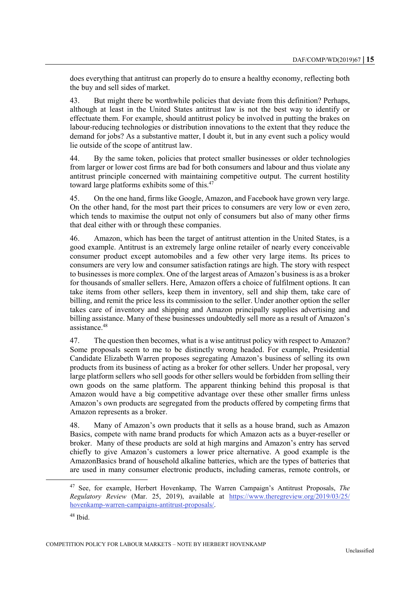does everything that antitrust can properly do to ensure a healthy economy, reflecting both the buy and sell sides of market.

43. But might there be worthwhile policies that deviate from this definition? Perhaps, although at least in the United States antitrust law is not the best way to identify or effectuate them. For example, should antitrust policy be involved in putting the brakes on labour-reducing technologies or distribution innovations to the extent that they reduce the demand for jobs? As a substantive matter, I doubt it, but in any event such a policy would lie outside of the scope of antitrust law.

44. By the same token, policies that protect smaller businesses or older technologies from larger or lower cost firms are bad for both consumers and labour and thus violate any antitrust principle concerned with maintaining competitive output. The current hostility toward large platforms exhibits some of this.<sup>47</sup>

45. On the one hand, firms like Google, Amazon, and Facebook have grown very large. On the other hand, for the most part their prices to consumers are very low or even zero, which tends to maximise the output not only of consumers but also of many other firms that deal either with or through these companies.

46. Amazon, which has been the target of antitrust attention in the United States, is a good example. Antitrust is an extremely large online retailer of nearly every conceivable consumer product except automobiles and a few other very large items. Its prices to consumers are very low and consumer satisfaction ratings are high. The story with respect to businesses is more complex. One of the largest areas of Amazon's business is as a broker for thousands of smaller sellers. Here, Amazon offers a choice of fulfilment options. It can take items from other sellers, keep them in inventory, sell and ship them, take care of billing, and remit the price less its commission to the seller. Under another option the seller takes care of inventory and shipping and Amazon principally supplies advertising and billing assistance. Many of these businesses undoubtedly sell more as a result of Amazon's assistance.<sup>48</sup>

47. The question then becomes, what is a wise antitrust policy with respect to Amazon? Some proposals seem to me to be distinctly wrong headed. For example, Presidential Candidate Elizabeth Warren proposes segregating Amazon's business of selling its own products from its business of acting as a broker for other sellers. Under her proposal, very large platform sellers who sell goods for other sellers would be forbidden from selling their own goods on the same platform. The apparent thinking behind this proposal is that Amazon would have a big competitive advantage over these other smaller firms unless Amazon's own products are segregated from the products offered by competing firms that Amazon represents as a broker.

48. Many of Amazon's own products that it sells as a house brand, such as Amazon Basics, compete with name brand products for which Amazon acts as a buyer-reseller or broker. Many of these products are sold at high margins and Amazon's entry has served chiefly to give Amazon's customers a lower price alternative. A good example is the AmazonBasics brand of household alkaline batteries, which are the types of batteries that are used in many consumer electronic products, including cameras, remote controls, or

<sup>47</sup> See, for example, Herbert Hovenkamp, The Warren Campaign's Antitrust Proposals, *The Regulatory Review* (Mar. 25, 2019), available at [https://www.theregreview.org/2019/03/25/](https://www.theregreview.org/2019/03/25/hovenkamp-warren-campaigns-antitrust-proposals/) [hovenkamp-warren-campaigns-antitrust-proposals/.](https://www.theregreview.org/2019/03/25/hovenkamp-warren-campaigns-antitrust-proposals/)

 $48$  Ibid.